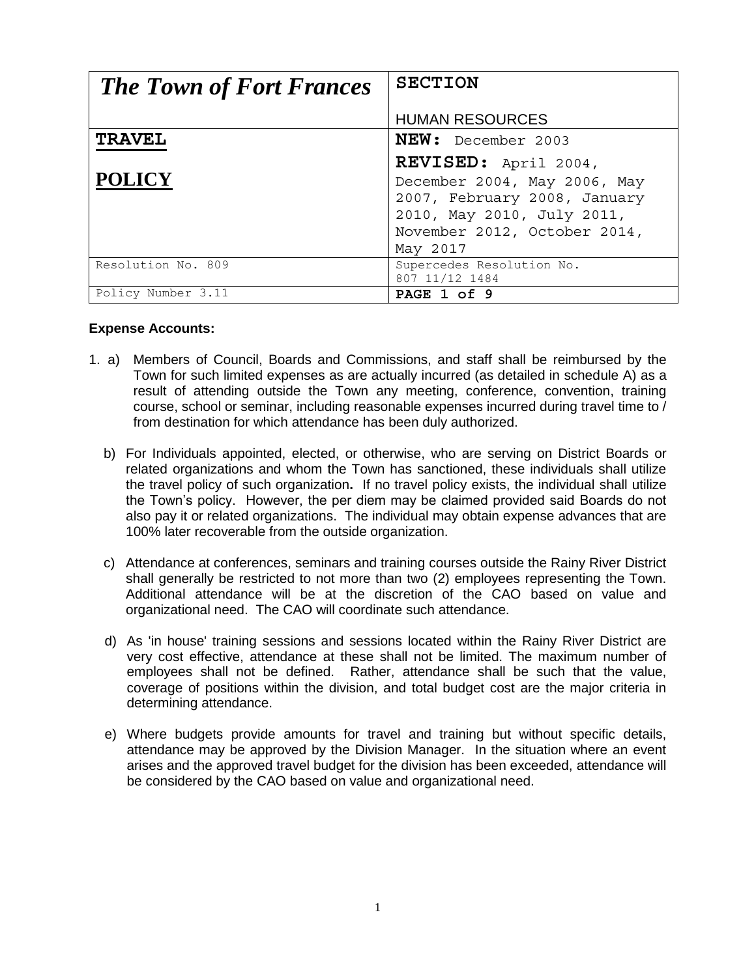| <b>The Town of Fort Frances</b> | <b>SECTION</b>                                                                                                                         |
|---------------------------------|----------------------------------------------------------------------------------------------------------------------------------------|
|                                 | <b>HUMAN RESOURCES</b>                                                                                                                 |
| <b>TRAVEL</b>                   | NEW: December 2003                                                                                                                     |
|                                 | REVISED: April 2004,                                                                                                                   |
| <b>POLICY</b>                   | December 2004, May 2006, May<br>2007, February 2008, January<br>2010, May 2010, July 2011,<br>November 2012, October 2014,<br>May 2017 |
| Resolution No. 809              | Supercedes Resolution No.<br>807 11/12 1484                                                                                            |
| Policy Number 3.11              | PAGE 1 of 9                                                                                                                            |

#### **Expense Accounts:**

- 1. a) Members of Council, Boards and Commissions, and staff shall be reimbursed by the Town for such limited expenses as are actually incurred (as detailed in schedule A) as a result of attending outside the Town any meeting, conference, convention, training course, school or seminar, including reasonable expenses incurred during travel time to / from destination for which attendance has been duly authorized.
	- b) For Individuals appointed, elected, or otherwise, who are serving on District Boards or related organizations and whom the Town has sanctioned, these individuals shall utilize the travel policy of such organization**.** If no travel policy exists, the individual shall utilize the Town's policy. However, the per diem may be claimed provided said Boards do not also pay it or related organizations. The individual may obtain expense advances that are 100% later recoverable from the outside organization.
	- c) Attendance at conferences, seminars and training courses outside the Rainy River District shall generally be restricted to not more than two (2) employees representing the Town. Additional attendance will be at the discretion of the CAO based on value and organizational need. The CAO will coordinate such attendance.
	- d) As 'in house' training sessions and sessions located within the Rainy River District are very cost effective, attendance at these shall not be limited. The maximum number of employees shall not be defined. Rather, attendance shall be such that the value, coverage of positions within the division, and total budget cost are the major criteria in determining attendance.
	- e) Where budgets provide amounts for travel and training but without specific details, attendance may be approved by the Division Manager. In the situation where an event arises and the approved travel budget for the division has been exceeded, attendance will be considered by the CAO based on value and organizational need.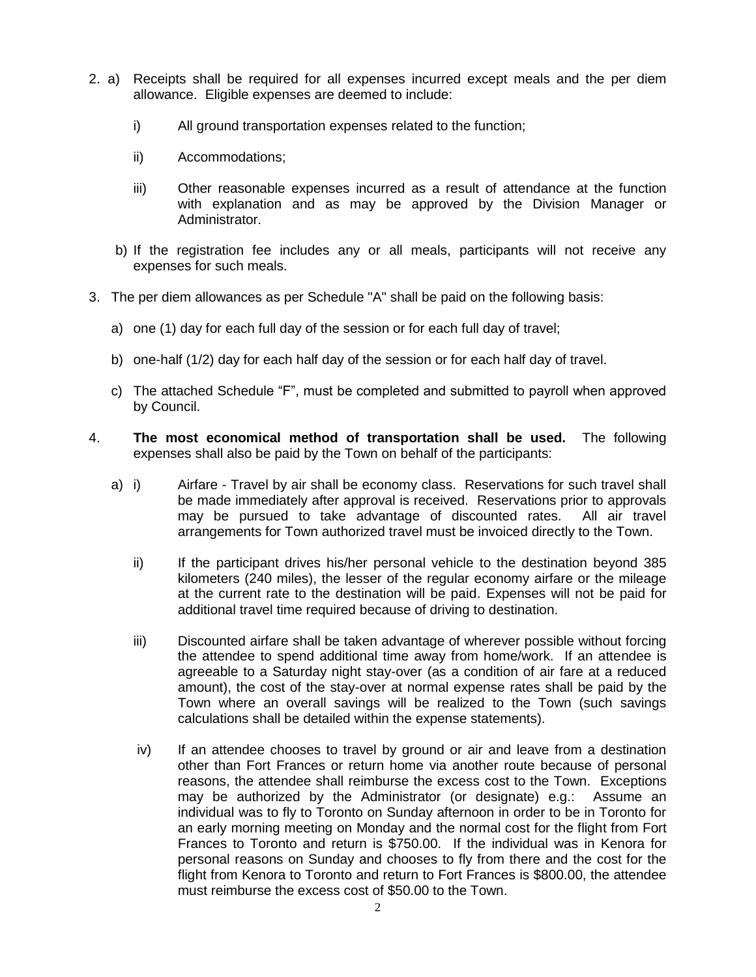- 2. a) Receipts shall be required for all expenses incurred except meals and the per diem allowance. Eligible expenses are deemed to include:
	- i) All ground transportation expenses related to the function;
	- ii) Accommodations;
	- iii) Other reasonable expenses incurred as a result of attendance at the function with explanation and as may be approved by the Division Manager or Administrator.
	- b) If the registration fee includes any or all meals, participants will not receive any expenses for such meals.
- 3. The per diem allowances as per Schedule "A" shall be paid on the following basis:
	- a) one (1) day for each full day of the session or for each full day of travel;
	- b) one-half (1/2) day for each half day of the session or for each half day of travel.
	- c) The attached Schedule "F", must be completed and submitted to payroll when approved by Council.
- 4. **The most economical method of transportation shall be used.** The following expenses shall also be paid by the Town on behalf of the participants:
	- a) i) Airfare Travel by air shall be economy class. Reservations for such travel shall be made immediately after approval is received. Reservations prior to approvals may be pursued to take advantage of discounted rates. All air travel arrangements for Town authorized travel must be invoiced directly to the Town.
		- ii) If the participant drives his/her personal vehicle to the destination beyond 385 kilometers (240 miles), the lesser of the regular economy airfare or the mileage at the current rate to the destination will be paid. Expenses will not be paid for additional travel time required because of driving to destination.
		- iii) Discounted airfare shall be taken advantage of wherever possible without forcing the attendee to spend additional time away from home/work. If an attendee is agreeable to a Saturday night stay-over (as a condition of air fare at a reduced amount), the cost of the stay-over at normal expense rates shall be paid by the Town where an overall savings will be realized to the Town (such savings calculations shall be detailed within the expense statements).
		- iv) If an attendee chooses to travel by ground or air and leave from a destination other than Fort Frances or return home via another route because of personal reasons, the attendee shall reimburse the excess cost to the Town. Exceptions may be authorized by the Administrator (or designate) e.g.: Assume an individual was to fly to Toronto on Sunday afternoon in order to be in Toronto for an early morning meeting on Monday and the normal cost for the flight from Fort Frances to Toronto and return is \$750.00. If the individual was in Kenora for personal reasons on Sunday and chooses to fly from there and the cost for the flight from Kenora to Toronto and return to Fort Frances is \$800.00, the attendee must reimburse the excess cost of \$50.00 to the Town.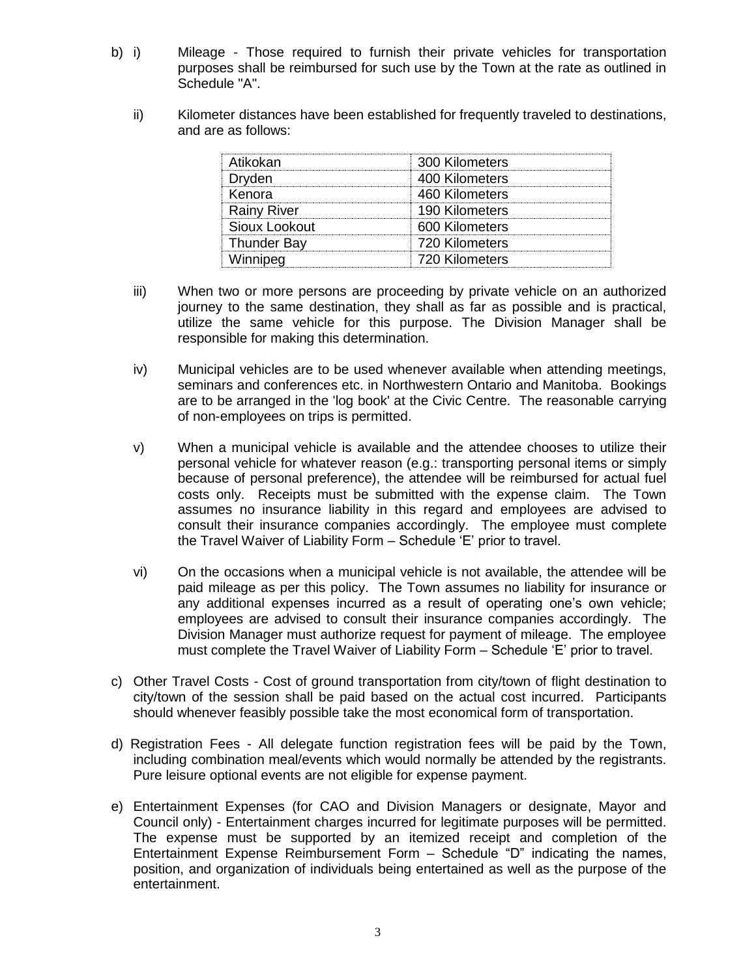- b) i) Mileage Those required to furnish their private vehicles for transportation purposes shall be reimbursed for such use by the Town at the rate as outlined in Schedule "A".
	- ii) Kilometer distances have been established for frequently traveled to destinations, and are as follows:

| Atikokan           | 300 Kilometers |
|--------------------|----------------|
| )rvden             | 400 Kilometers |
| Kenora             | 460 Kilometers |
| <b>Rainy River</b> | 190 Kilometers |
| Sioux Lookout      | 600 Kilometers |
| Thunder Bay        | 720 Kilometers |
| Winnipeg           | 720 Kilometers |

- iii) When two or more persons are proceeding by private vehicle on an authorized journey to the same destination, they shall as far as possible and is practical, utilize the same vehicle for this purpose. The Division Manager shall be responsible for making this determination.
- iv) Municipal vehicles are to be used whenever available when attending meetings, seminars and conferences etc. in Northwestern Ontario and Manitoba. Bookings are to be arranged in the 'log book' at the Civic Centre. The reasonable carrying of non-employees on trips is permitted.
- v) When a municipal vehicle is available and the attendee chooses to utilize their personal vehicle for whatever reason (e.g.: transporting personal items or simply because of personal preference), the attendee will be reimbursed for actual fuel costs only. Receipts must be submitted with the expense claim. The Town assumes no insurance liability in this regard and employees are advised to consult their insurance companies accordingly. The employee must complete the Travel Waiver of Liability Form – Schedule 'E' prior to travel.
- vi) On the occasions when a municipal vehicle is not available, the attendee will be paid mileage as per this policy. The Town assumes no liability for insurance or any additional expenses incurred as a result of operating one's own vehicle; employees are advised to consult their insurance companies accordingly. The Division Manager must authorize request for payment of mileage. The employee must complete the Travel Waiver of Liability Form – Schedule 'E' prior to travel.
- c) Other Travel Costs Cost of ground transportation from city/town of flight destination to city/town of the session shall be paid based on the actual cost incurred. Participants should whenever feasibly possible take the most economical form of transportation.
- d) Registration Fees All delegate function registration fees will be paid by the Town, including combination meal/events which would normally be attended by the registrants. Pure leisure optional events are not eligible for expense payment.
- e) Entertainment Expenses (for CAO and Division Managers or designate, Mayor and Council only) - Entertainment charges incurred for legitimate purposes will be permitted. The expense must be supported by an itemized receipt and completion of the Entertainment Expense Reimbursement Form – Schedule "D" indicating the names, position, and organization of individuals being entertained as well as the purpose of the entertainment.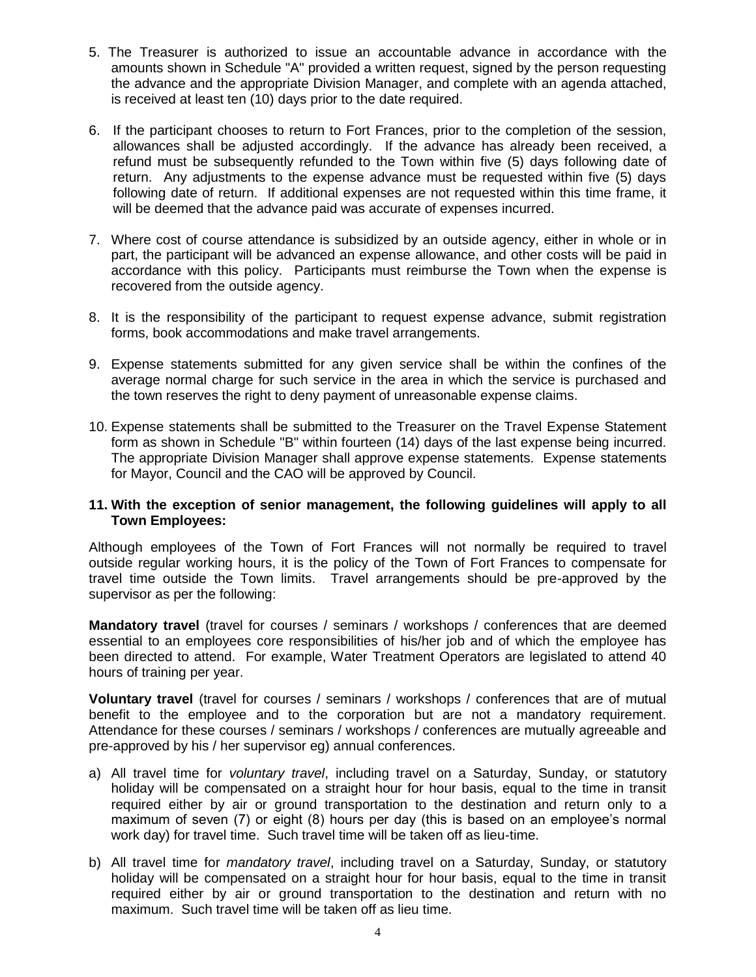- 5. The Treasurer is authorized to issue an accountable advance in accordance with the amounts shown in Schedule "A" provided a written request, signed by the person requesting the advance and the appropriate Division Manager, and complete with an agenda attached, is received at least ten (10) days prior to the date required.
- 6. If the participant chooses to return to Fort Frances, prior to the completion of the session, allowances shall be adjusted accordingly. If the advance has already been received, a refund must be subsequently refunded to the Town within five (5) days following date of return. Any adjustments to the expense advance must be requested within five (5) days following date of return. If additional expenses are not requested within this time frame, it will be deemed that the advance paid was accurate of expenses incurred.
- 7. Where cost of course attendance is subsidized by an outside agency, either in whole or in part, the participant will be advanced an expense allowance, and other costs will be paid in accordance with this policy. Participants must reimburse the Town when the expense is recovered from the outside agency.
- 8. It is the responsibility of the participant to request expense advance, submit registration forms, book accommodations and make travel arrangements.
- 9. Expense statements submitted for any given service shall be within the confines of the average normal charge for such service in the area in which the service is purchased and the town reserves the right to deny payment of unreasonable expense claims.
- 10. Expense statements shall be submitted to the Treasurer on the Travel Expense Statement form as shown in Schedule "B" within fourteen (14) days of the last expense being incurred. The appropriate Division Manager shall approve expense statements. Expense statements for Mayor, Council and the CAO will be approved by Council.

#### **11. With the exception of senior management, the following guidelines will apply to all Town Employees:**

Although employees of the Town of Fort Frances will not normally be required to travel outside regular working hours, it is the policy of the Town of Fort Frances to compensate for travel time outside the Town limits. Travel arrangements should be pre-approved by the supervisor as per the following:

**Mandatory travel** (travel for courses / seminars / workshops / conferences that are deemed essential to an employees core responsibilities of his/her job and of which the employee has been directed to attend. For example, Water Treatment Operators are legislated to attend 40 hours of training per year.

**Voluntary travel** (travel for courses / seminars / workshops / conferences that are of mutual benefit to the employee and to the corporation but are not a mandatory requirement. Attendance for these courses / seminars / workshops / conferences are mutually agreeable and pre-approved by his / her supervisor eg) annual conferences.

- a) All travel time for *voluntary travel*, including travel on a Saturday, Sunday, or statutory holiday will be compensated on a straight hour for hour basis, equal to the time in transit required either by air or ground transportation to the destination and return only to a maximum of seven (7) or eight (8) hours per day (this is based on an employee's normal work day) for travel time. Such travel time will be taken off as lieu-time.
- b) All travel time for *mandatory travel*, including travel on a Saturday, Sunday, or statutory holiday will be compensated on a straight hour for hour basis, equal to the time in transit required either by air or ground transportation to the destination and return with no maximum. Such travel time will be taken off as lieu time.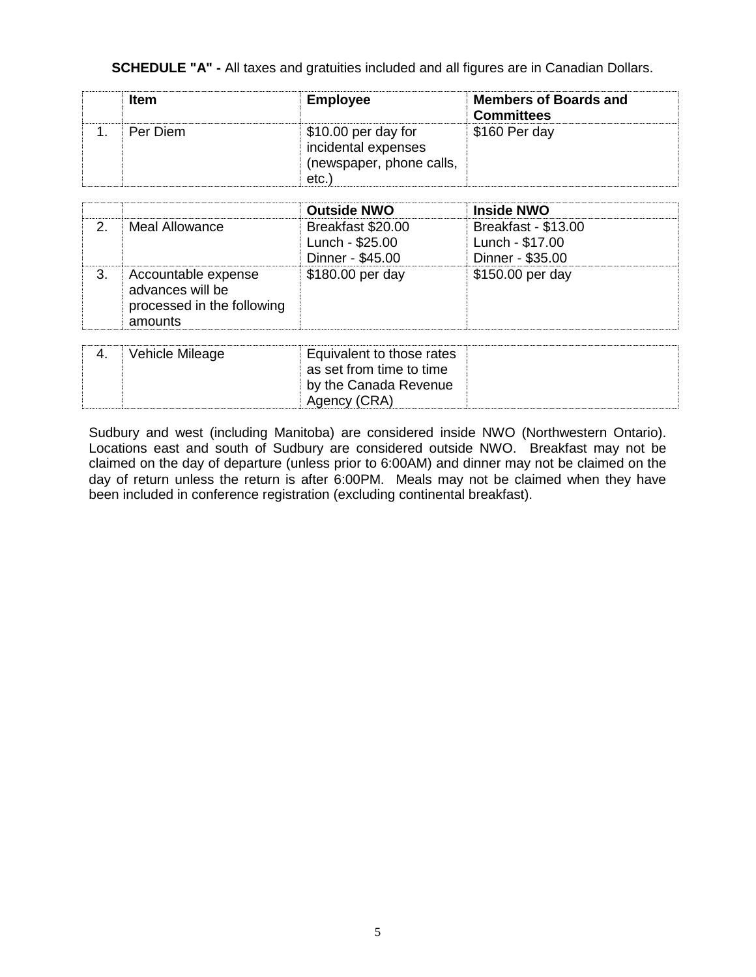**SCHEDULE "A" -** All taxes and gratuities included and all figures are in Canadian Dollars.

| <b>Item</b> | <b>Employee</b>                                                                 | <b>Members of Boards and</b><br><b>Committees</b> |
|-------------|---------------------------------------------------------------------------------|---------------------------------------------------|
| Per Diem    | \$10.00 per day for<br>incidental expenses<br>(newspaper, phone calls,<br>etc.) | \$160 Per day                                     |

|    |                                                                                  | <b>Outside NWO</b>                                       | <b>Inside NWO</b>                                          |
|----|----------------------------------------------------------------------------------|----------------------------------------------------------|------------------------------------------------------------|
| 2. | <b>Meal Allowance</b>                                                            | Breakfast \$20.00<br>Lunch - \$25.00<br>Dinner - \$45.00 | Breakfast - \$13.00<br>Lunch - \$17.00<br>Dinner - \$35.00 |
| 3. | Accountable expense<br>advances will be<br>processed in the following<br>amounts | \$180.00 per day                                         | \$150.00 per day                                           |

| Vehicle Mileage | Equivalent to those rates |
|-----------------|---------------------------|
|                 | as set from time to time  |
|                 | by the Canada Revenue     |
|                 | Agency (CRA)              |

Sudbury and west (including Manitoba) are considered inside NWO (Northwestern Ontario). Locations east and south of Sudbury are considered outside NWO. Breakfast may not be claimed on the day of departure (unless prior to 6:00AM) and dinner may not be claimed on the day of return unless the return is after 6:00PM. Meals may not be claimed when they have been included in conference registration (excluding continental breakfast).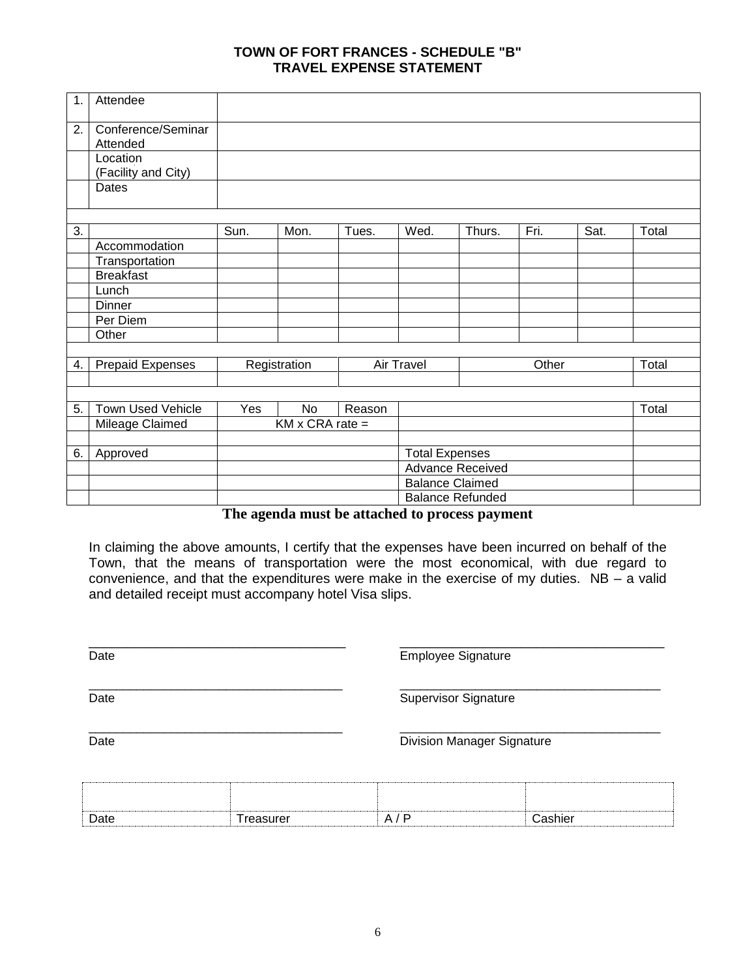### **TOWN OF FORT FRANCES - SCHEDULE "B" TRAVEL EXPENSE STATEMENT**

| 1. | Attendee                        |      |                        |        |                         |        |                         |      |       |
|----|---------------------------------|------|------------------------|--------|-------------------------|--------|-------------------------|------|-------|
| 2. | Conference/Seminar<br>Attended  |      |                        |        |                         |        |                         |      |       |
|    | Location<br>(Facility and City) |      |                        |        |                         |        |                         |      |       |
|    | Dates                           |      |                        |        |                         |        |                         |      |       |
| 3. |                                 | Sun. | Mon.                   | Tues.  | Wed.                    | Thurs. | Fri.                    | Sat. | Total |
|    | Accommodation                   |      |                        |        |                         |        |                         |      |       |
|    | Transportation                  |      |                        |        |                         |        |                         |      |       |
|    | <b>Breakfast</b>                |      |                        |        |                         |        |                         |      |       |
|    | Lunch                           |      |                        |        |                         |        |                         |      |       |
|    | Dinner                          |      |                        |        |                         |        |                         |      |       |
|    | Per Diem                        |      |                        |        |                         |        |                         |      |       |
|    | Other                           |      |                        |        |                         |        |                         |      |       |
|    |                                 |      |                        |        |                         |        |                         |      |       |
| 4. | <b>Prepaid Expenses</b>         |      | Registration           |        | Air Travel              |        | Other                   |      | Total |
|    |                                 |      |                        |        |                         |        |                         |      |       |
|    |                                 |      |                        |        |                         |        |                         |      |       |
| 5. | <b>Town Used Vehicle</b>        | Yes  | No                     | Reason |                         |        |                         |      | Total |
|    | Mileage Claimed                 |      | $KM \times CRA$ rate = |        |                         |        |                         |      |       |
|    |                                 |      |                        |        |                         |        |                         |      |       |
| 6. | Approved                        |      |                        |        | <b>Total Expenses</b>   |        |                         |      |       |
|    |                                 |      |                        |        |                         |        | <b>Advance Received</b> |      |       |
|    |                                 |      |                        |        |                         |        | <b>Balance Claimed</b>  |      |       |
|    |                                 |      |                        |        | <b>Balance Refunded</b> |        |                         |      |       |

**The agenda must be attached to process payment**

In claiming the above amounts, I certify that the expenses have been incurred on behalf of the Town, that the means of transportation were the most economical, with due regard to convenience, and that the expenditures were make in the exercise of my duties. NB – a valid and detailed receipt must accompany hotel Visa slips.

\_\_\_\_\_\_\_\_\_\_\_\_\_\_\_\_\_\_\_\_\_\_\_\_\_\_\_\_\_\_\_\_\_\_ \_\_\_\_\_\_\_\_\_\_\_\_\_\_\_\_\_\_\_\_\_\_\_\_\_\_\_\_\_\_\_\_\_\_\_

Date **Date Employee Signature** 

\_\_\_\_\_\_\_\_\_\_\_\_\_\_\_\_\_\_\_\_\_\_\_\_\_\_\_\_\_\_\_\_\_\_\_\_\_ \_\_\_\_\_\_\_\_\_\_\_\_\_\_\_\_\_\_\_\_\_\_\_\_\_\_\_\_\_\_\_\_\_\_\_\_\_\_

Date Supervisor Signature

\_\_\_\_\_\_\_\_\_\_\_\_\_\_\_\_\_\_\_\_\_\_\_\_\_\_\_\_\_\_\_\_\_\_\_\_\_ \_\_\_\_\_\_\_\_\_\_\_\_\_\_\_\_\_\_\_\_\_\_\_\_\_\_\_\_\_\_\_\_\_\_\_\_\_\_

Date **Date** Date **Division Manager Signature** 

| Date | reasurer | ---------------------------<br>E<br>$\mathbf{v}$<br>$\sqrt{ }$ | <br>Cashier |
|------|----------|----------------------------------------------------------------|-------------|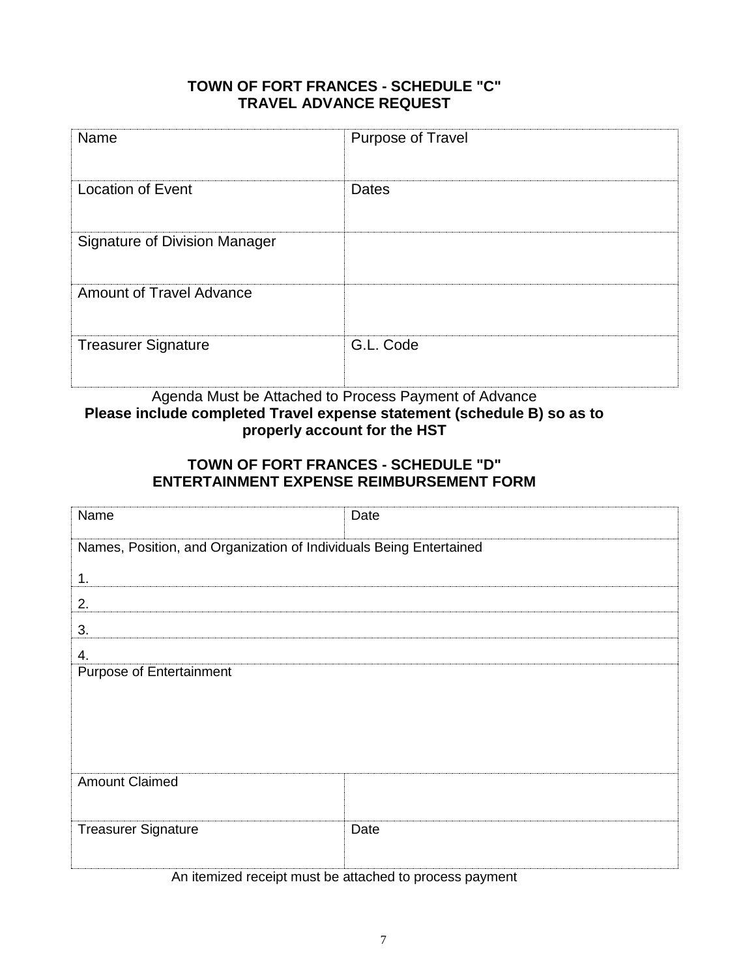## **TOWN OF FORT FRANCES - SCHEDULE "C" TRAVEL ADVANCE REQUEST**

| Name                            | Purpose of Travel |
|---------------------------------|-------------------|
| <b>Location of Event</b>        | Dates             |
| Signature of Division Manager   |                   |
| <b>Amount of Travel Advance</b> |                   |
| <b>Treasurer Signature</b>      | G.L. Code         |

## Agenda Must be Attached to Process Payment of Advance **Please include completed Travel expense statement (schedule B) so as to properly account for the HST**

## **TOWN OF FORT FRANCES - SCHEDULE "D" ENTERTAINMENT EXPENSE REIMBURSEMENT FORM**

| Name                                                               | Date                                              |
|--------------------------------------------------------------------|---------------------------------------------------|
| Names, Position, and Organization of Individuals Being Entertained |                                                   |
| 1.                                                                 |                                                   |
| 2.                                                                 |                                                   |
| 3.                                                                 |                                                   |
| 4.                                                                 |                                                   |
| Purpose of Entertainment                                           |                                                   |
| <b>Amount Claimed</b>                                              |                                                   |
| <b>Treasurer Signature</b><br>.                                    | Date<br>$\sim$ $\sim$ $\sim$ $\sim$ $\sim$ $\sim$ |

An itemized receipt must be attached to process payment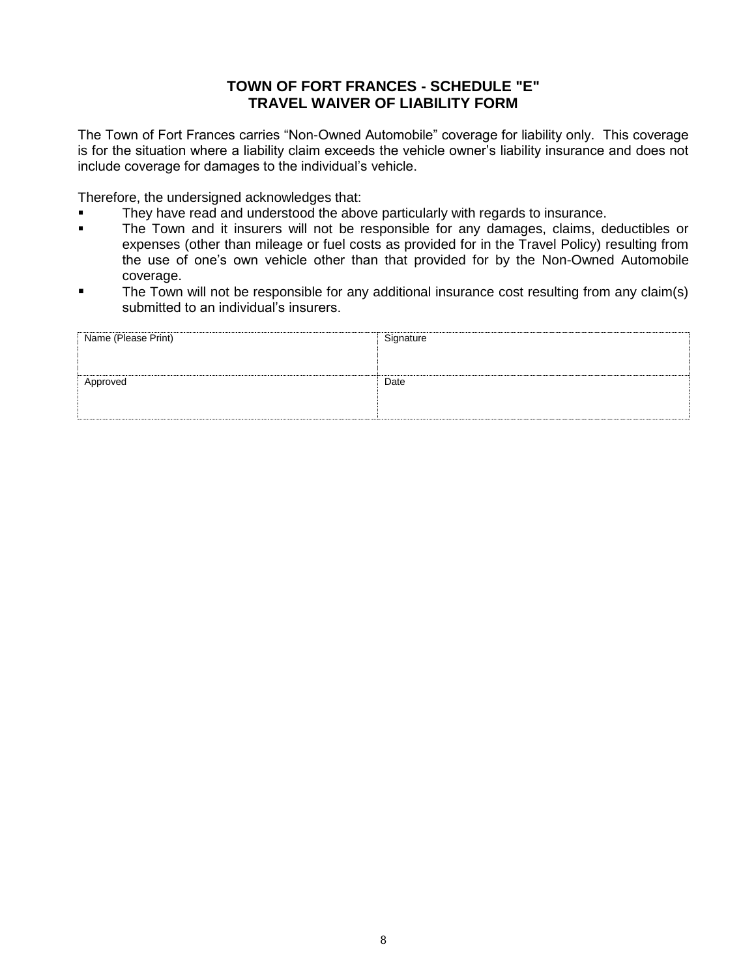## **TOWN OF FORT FRANCES - SCHEDULE "E" TRAVEL WAIVER OF LIABILITY FORM**

The Town of Fort Frances carries "Non-Owned Automobile" coverage for liability only. This coverage is for the situation where a liability claim exceeds the vehicle owner's liability insurance and does not include coverage for damages to the individual's vehicle.

Therefore, the undersigned acknowledges that:

- They have read and understood the above particularly with regards to insurance.
- The Town and it insurers will not be responsible for any damages, claims, deductibles or expenses (other than mileage or fuel costs as provided for in the Travel Policy) resulting from the use of one's own vehicle other than that provided for by the Non-Owned Automobile coverage.
- The Town will not be responsible for any additional insurance cost resulting from any claim(s) submitted to an individual's insurers.

| Name (Please Print) | Signature |
|---------------------|-----------|
|                     |           |
| Approved            | Date      |
|                     |           |